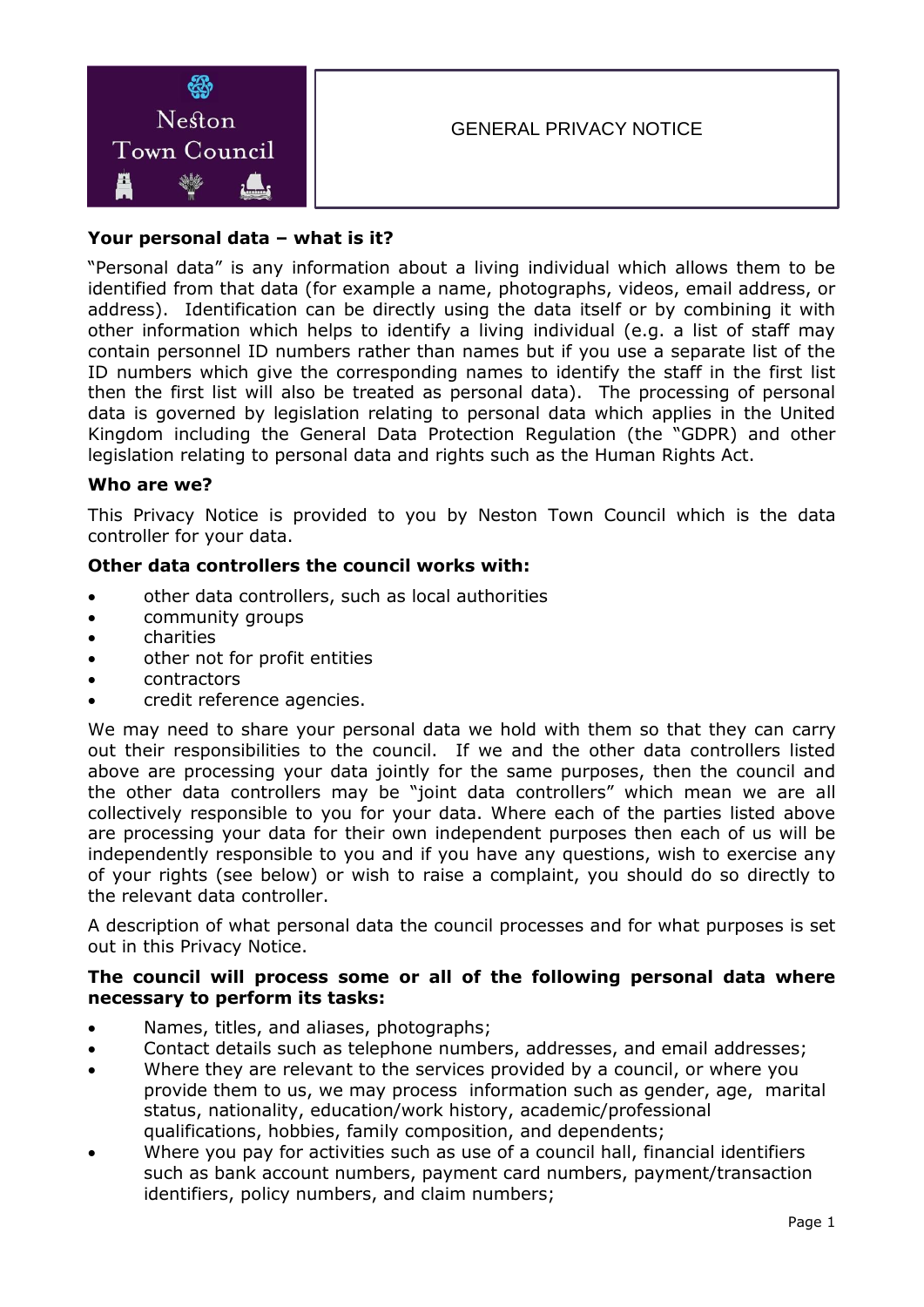

# **Your personal data – what is it?**

"Personal data" is any information about a living individual which allows them to be identified from that data (for example a name, photographs, videos, email address, or address). Identification can be directly using the data itself or by combining it with other information which helps to identify a living individual (e.g. a list of staff may contain personnel ID numbers rather than names but if you use a separate list of the ID numbers which give the corresponding names to identify the staff in the first list then the first list will also be treated as personal data). The processing of personal data is governed by legislation relating to personal data which applies in the United Kingdom including the General Data Protection Regulation (the "GDPR) and other legislation relating to personal data and rights such as the Human Rights Act.

#### **Who are we?**

This Privacy Notice is provided to you by Neston Town Council which is the data controller for your data.

#### **Other data controllers the council works with:**

- other data controllers, such as local authorities
- community groups
- **•** charities
- other not for profit entities
- contractors
- credit reference agencies.

We may need to share your personal data we hold with them so that they can carry out their responsibilities to the council. If we and the other data controllers listed above are processing your data jointly for the same purposes, then the council and the other data controllers may be "joint data controllers" which mean we are all collectively responsible to you for your data. Where each of the parties listed above are processing your data for their own independent purposes then each of us will be independently responsible to you and if you have any questions, wish to exercise any of your rights (see below) or wish to raise a complaint, you should do so directly to the relevant data controller.

A description of what personal data the council processes and for what purposes is set out in this Privacy Notice.

#### **The council will process some or all of the following personal data where necessary to perform its tasks:**

- Names, titles, and aliases, photographs;
- Contact details such as telephone numbers, addresses, and email addresses;
- Where they are relevant to the services provided by a council, or where you provide them to us, we may process information such as gender, age, marital status, nationality, education/work history, academic/professional qualifications, hobbies, family composition, and dependents;
- Where you pay for activities such as use of a council hall, financial identifiers such as bank account numbers, payment card numbers, payment/transaction identifiers, policy numbers, and claim numbers;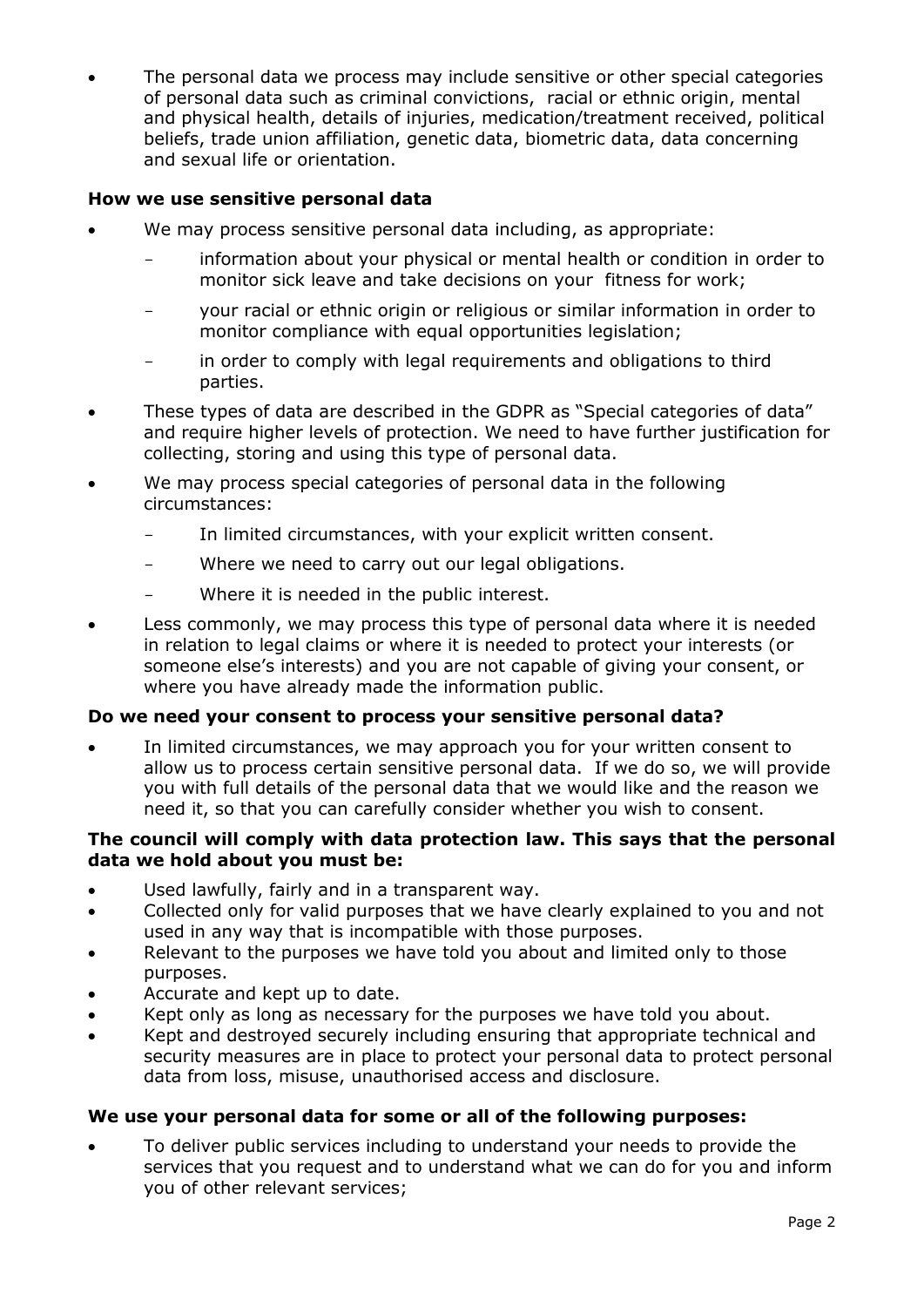The personal data we process may include sensitive or other special categories of personal data such as criminal convictions, racial or ethnic origin, mental and physical health, details of injuries, medication/treatment received, political beliefs, trade union affiliation, genetic data, biometric data, data concerning and sexual life or orientation.

# **How we use sensitive personal data**

- We may process sensitive personal data including, as appropriate:
	- information about your physical or mental health or condition in order to monitor sick leave and take decisions on your fitness for work;
	- your racial or ethnic origin or religious or similar information in order to monitor compliance with equal opportunities legislation;
	- in order to comply with legal requirements and obligations to third parties.
- These types of data are described in the GDPR as "Special categories of data" and require higher levels of protection. We need to have further justification for collecting, storing and using this type of personal data.
- We may process special categories of personal data in the following circumstances:
	- In limited circumstances, with your explicit written consent.
	- Where we need to carry out our legal obligations.
	- Where it is needed in the public interest.
- Less commonly, we may process this type of personal data where it is needed in relation to legal claims or where it is needed to protect your interests (or someone else's interests) and you are not capable of giving your consent, or where you have already made the information public.

#### **Do we need your consent to process your sensitive personal data?**

 In limited circumstances, we may approach you for your written consent to allow us to process certain sensitive personal data. If we do so, we will provide you with full details of the personal data that we would like and the reason we need it, so that you can carefully consider whether you wish to consent.

#### **The council will comply with data protection law. This says that the personal data we hold about you must be:**

- Used lawfully, fairly and in a transparent way.
- Collected only for valid purposes that we have clearly explained to you and not used in any way that is incompatible with those purposes.
- Relevant to the purposes we have told you about and limited only to those purposes.
- Accurate and kept up to date.
- Kept only as long as necessary for the purposes we have told you about.
- Kept and destroyed securely including ensuring that appropriate technical and security measures are in place to protect your personal data to protect personal data from loss, misuse, unauthorised access and disclosure.

#### **We use your personal data for some or all of the following purposes:**

 To deliver public services including to understand your needs to provide the services that you request and to understand what we can do for you and inform you of other relevant services;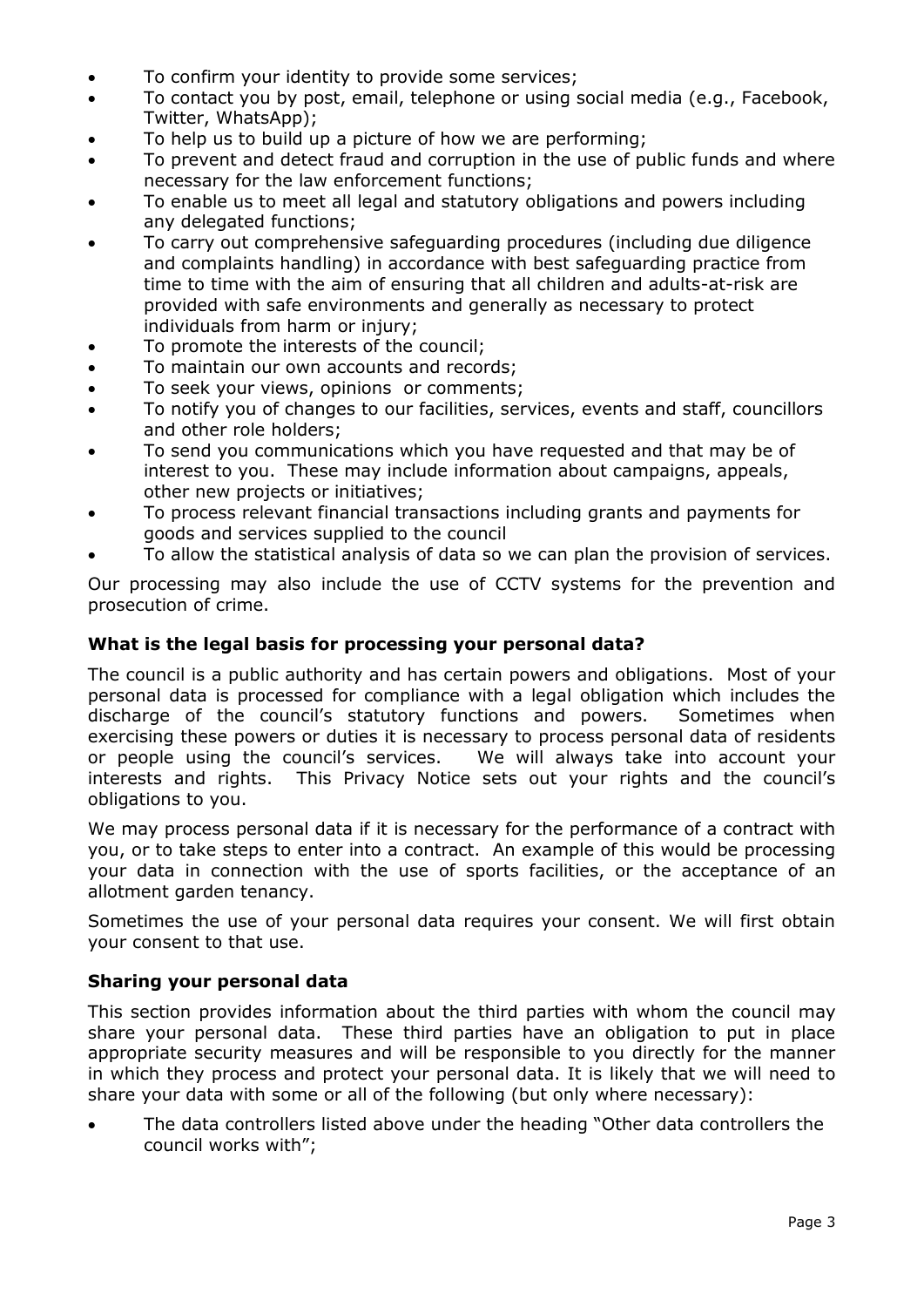- To confirm your identity to provide some services;
- To contact you by post, email, telephone or using social media (e.g., Facebook, Twitter, WhatsApp);
- To help us to build up a picture of how we are performing;
- To prevent and detect fraud and corruption in the use of public funds and where necessary for the law enforcement functions;
- To enable us to meet all legal and statutory obligations and powers including any delegated functions;
- To carry out comprehensive safeguarding procedures (including due diligence and complaints handling) in accordance with best safeguarding practice from time to time with the aim of ensuring that all children and adults-at-risk are provided with safe environments and generally as necessary to protect individuals from harm or injury;
- To promote the interests of the council;
- To maintain our own accounts and records;
- To seek your views, opinions or comments;
- To notify you of changes to our facilities, services, events and staff, councillors and other role holders;
- To send you communications which you have requested and that may be of interest to you. These may include information about campaigns, appeals, other new projects or initiatives;
- To process relevant financial transactions including grants and payments for goods and services supplied to the council
- To allow the statistical analysis of data so we can plan the provision of services.

Our processing may also include the use of CCTV systems for the prevention and prosecution of crime.

#### **What is the legal basis for processing your personal data?**

The council is a public authority and has certain powers and obligations. Most of your personal data is processed for compliance with a legal obligation which includes the discharge of the council's statutory functions and powers. Sometimes when exercising these powers or duties it is necessary to process personal data of residents or people using the council's services. We will always take into account your interests and rights. This Privacy Notice sets out your rights and the council's obligations to you.

We may process personal data if it is necessary for the performance of a contract with you, or to take steps to enter into a contract. An example of this would be processing your data in connection with the use of sports facilities, or the acceptance of an allotment garden tenancy.

Sometimes the use of your personal data requires your consent. We will first obtain your consent to that use.

# **Sharing your personal data**

This section provides information about the third parties with whom the council may share your personal data. These third parties have an obligation to put in place appropriate security measures and will be responsible to you directly for the manner in which they process and protect your personal data. It is likely that we will need to share your data with some or all of the following (but only where necessary):

 The data controllers listed above under the heading "Other data controllers the council works with";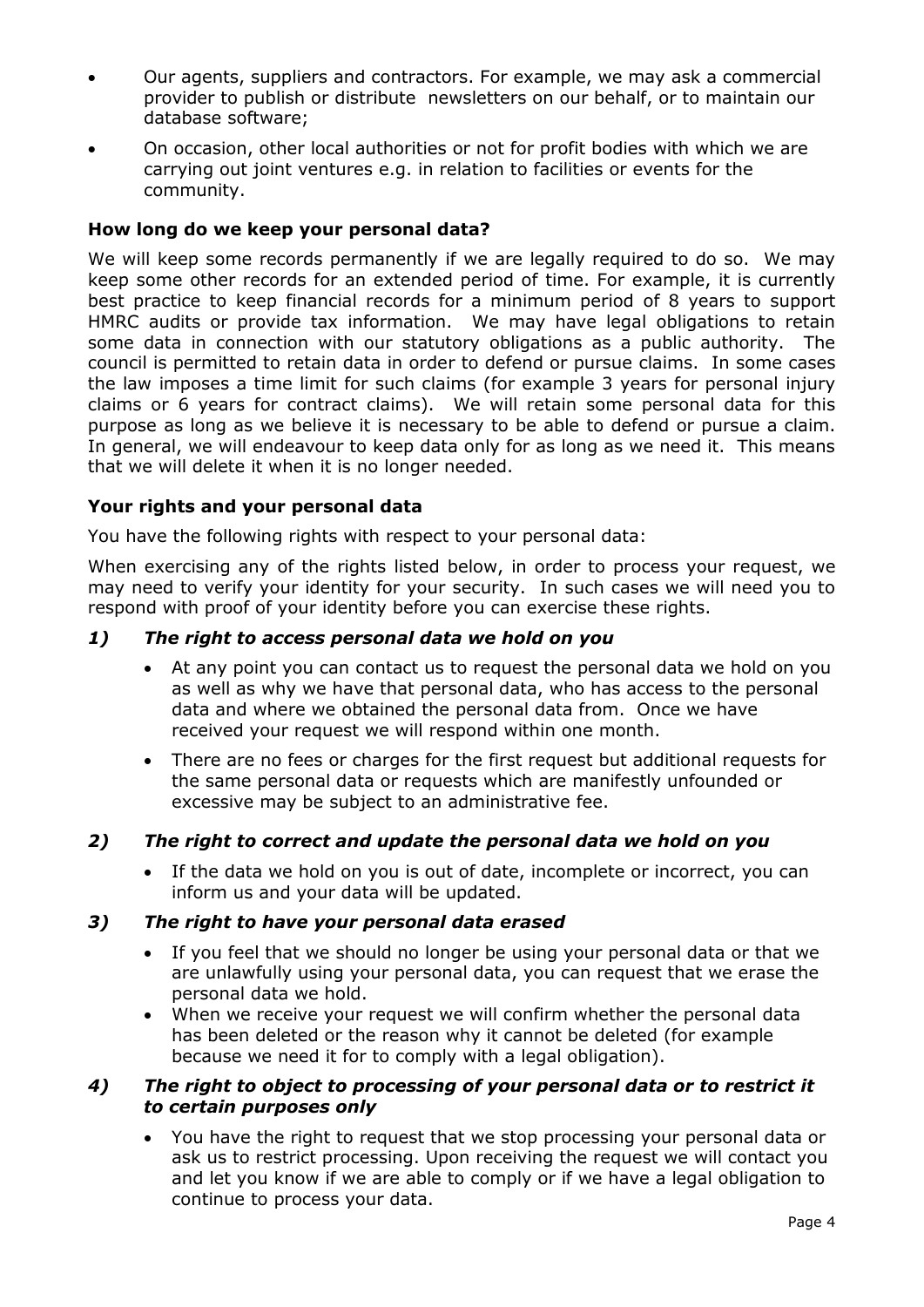- Our agents, suppliers and contractors. For example, we may ask a commercial provider to publish or distribute newsletters on our behalf, or to maintain our database software;
- On occasion, other local authorities or not for profit bodies with which we are carrying out joint ventures e.g. in relation to facilities or events for the community.

# **How long do we keep your personal data?**

We will keep some records permanently if we are legally required to do so. We may keep some other records for an extended period of time. For example, it is currently best practice to keep financial records for a minimum period of 8 years to support HMRC audits or provide tax information. We may have legal obligations to retain some data in connection with our statutory obligations as a public authority. The council is permitted to retain data in order to defend or pursue claims. In some cases the law imposes a time limit for such claims (for example 3 years for personal injury claims or 6 years for contract claims). We will retain some personal data for this purpose as long as we believe it is necessary to be able to defend or pursue a claim. In general, we will endeavour to keep data only for as long as we need it. This means that we will delete it when it is no longer needed.

# **Your rights and your personal data**

You have the following rights with respect to your personal data:

When exercising any of the rights listed below, in order to process your request, we may need to verify your identity for your security. In such cases we will need you to respond with proof of your identity before you can exercise these rights.

# *1) The right to access personal data we hold on you*

- At any point you can contact us to request the personal data we hold on you as well as why we have that personal data, who has access to the personal data and where we obtained the personal data from. Once we have received your request we will respond within one month.
- There are no fees or charges for the first request but additional requests for the same personal data or requests which are manifestly unfounded or excessive may be subject to an administrative fee.

# *2) The right to correct and update the personal data we hold on you*

 If the data we hold on you is out of date, incomplete or incorrect, you can inform us and your data will be updated.

# *3) The right to have your personal data erased*

- If you feel that we should no longer be using your personal data or that we are unlawfully using your personal data, you can request that we erase the personal data we hold.
- When we receive your request we will confirm whether the personal data has been deleted or the reason why it cannot be deleted (for example because we need it for to comply with a legal obligation).

# *4) The right to object to processing of your personal data or to restrict it to certain purposes only*

 You have the right to request that we stop processing your personal data or ask us to restrict processing. Upon receiving the request we will contact you and let you know if we are able to comply or if we have a legal obligation to continue to process your data.